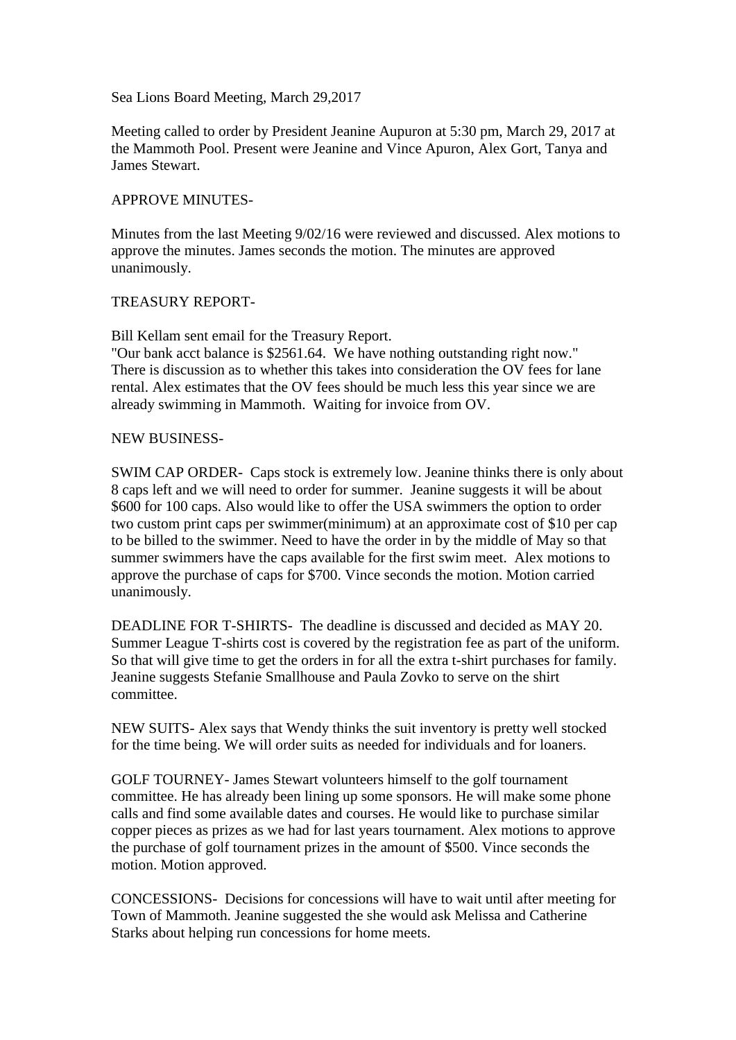Sea Lions Board Meeting, March 29,2017

Meeting called to order by President Jeanine Aupuron at 5:30 pm, March 29, 2017 at the Mammoth Pool. Present were Jeanine and Vince Apuron, Alex Gort, Tanya and James Stewart.

### APPROVE MINUTES-

Minutes from the last Meeting 9/02/16 were reviewed and discussed. Alex motions to approve the minutes. James seconds the motion. The minutes are approved unanimously.

#### TREASURY REPORT-

Bill Kellam sent email for the Treasury Report.

"Our bank acct balance is \$2561.64. We have nothing outstanding right now." There is discussion as to whether this takes into consideration the OV fees for lane rental. Alex estimates that the OV fees should be much less this year since we are already swimming in Mammoth. Waiting for invoice from OV.

#### NEW BUSINESS-

SWIM CAP ORDER- Caps stock is extremely low. Jeanine thinks there is only about 8 caps left and we will need to order for summer. Jeanine suggests it will be about \$600 for 100 caps. Also would like to offer the USA swimmers the option to order two custom print caps per swimmer(minimum) at an approximate cost of \$10 per cap to be billed to the swimmer. Need to have the order in by the middle of May so that summer swimmers have the caps available for the first swim meet. Alex motions to approve the purchase of caps for \$700. Vince seconds the motion. Motion carried unanimously.

DEADLINE FOR T-SHIRTS- The deadline is discussed and decided as MAY 20. Summer League T-shirts cost is covered by the registration fee as part of the uniform. So that will give time to get the orders in for all the extra t-shirt purchases for family. Jeanine suggests Stefanie Smallhouse and Paula Zovko to serve on the shirt committee.

NEW SUITS- Alex says that Wendy thinks the suit inventory is pretty well stocked for the time being. We will order suits as needed for individuals and for loaners.

GOLF TOURNEY- James Stewart volunteers himself to the golf tournament committee. He has already been lining up some sponsors. He will make some phone calls and find some available dates and courses. He would like to purchase similar copper pieces as prizes as we had for last years tournament. Alex motions to approve the purchase of golf tournament prizes in the amount of \$500. Vince seconds the motion. Motion approved.

CONCESSIONS- Decisions for concessions will have to wait until after meeting for Town of Mammoth. Jeanine suggested the she would ask Melissa and Catherine Starks about helping run concessions for home meets.